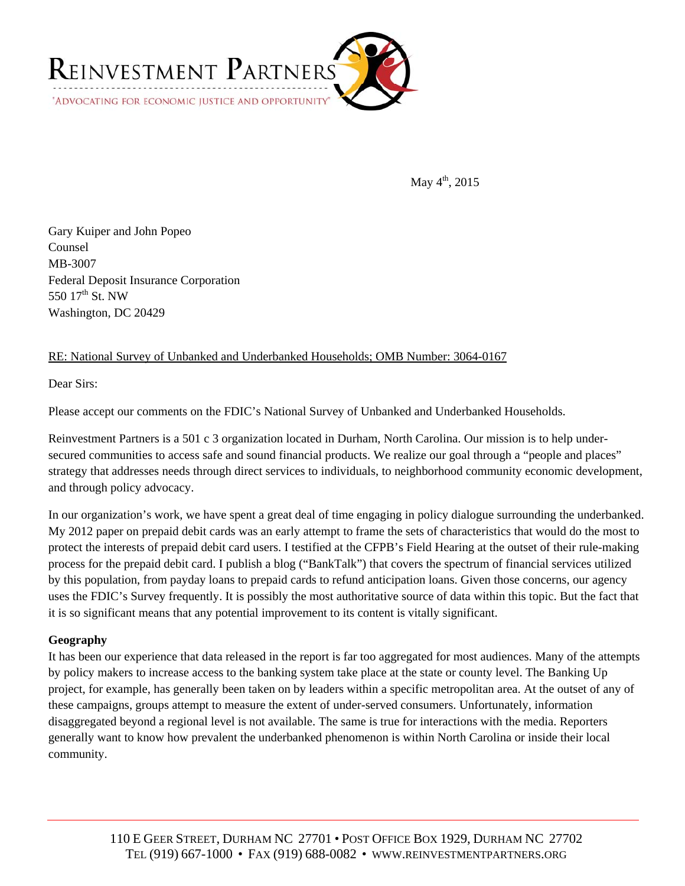

May  $4^{th}$ , 2015

Gary Kuiper and John Popeo Counsel MB-3007 Federal Deposit Insurance Corporation 550 17<sup>th</sup> St. NW Washington, DC 20429

# RE: National Survey of Unbanked and Underbanked Households; OMB Number: 3064-0167

Dear Sirs:

Please accept our comments on the FDIC's National Survey of Unbanked and Underbanked Households.

Reinvestment Partners is a 501 c 3 organization located in Durham, North Carolina. Our mission is to help undersecured communities to access safe and sound financial products. We realize our goal through a "people and places" strategy that addresses needs through direct services to individuals, to neighborhood community economic development, and through policy advocacy.

In our organization's work, we have spent a great deal of time engaging in policy dialogue surrounding the underbanked. My 2012 paper on prepaid debit cards was an early attempt to frame the sets of characteristics that would do the most to protect the interests of prepaid debit card users. I testified at the CFPB's Field Hearing at the outset of their rule-making process for the prepaid debit card. I publish a blog ("BankTalk") that covers the spectrum of financial services utilized by this population, from payday loans to prepaid cards to refund anticipation loans. Given those concerns, our agency uses the FDIC's Survey frequently. It is possibly the most authoritative source of data within this topic. But the fact that it is so significant means that any potential improvement to its content is vitally significant.

## **Geography**

It has been our experience that data released in the report is far too aggregated for most audiences. Many of the attempts by policy makers to increase access to the banking system take place at the state or county level. The Banking Up project, for example, has generally been taken on by leaders within a specific metropolitan area. At the outset of any of these campaigns, groups attempt to measure the extent of under-served consumers. Unfortunately, information disaggregated beyond a regional level is not available. The same is true for interactions with the media. Reporters generally want to know how prevalent the underbanked phenomenon is within North Carolina or inside their local community.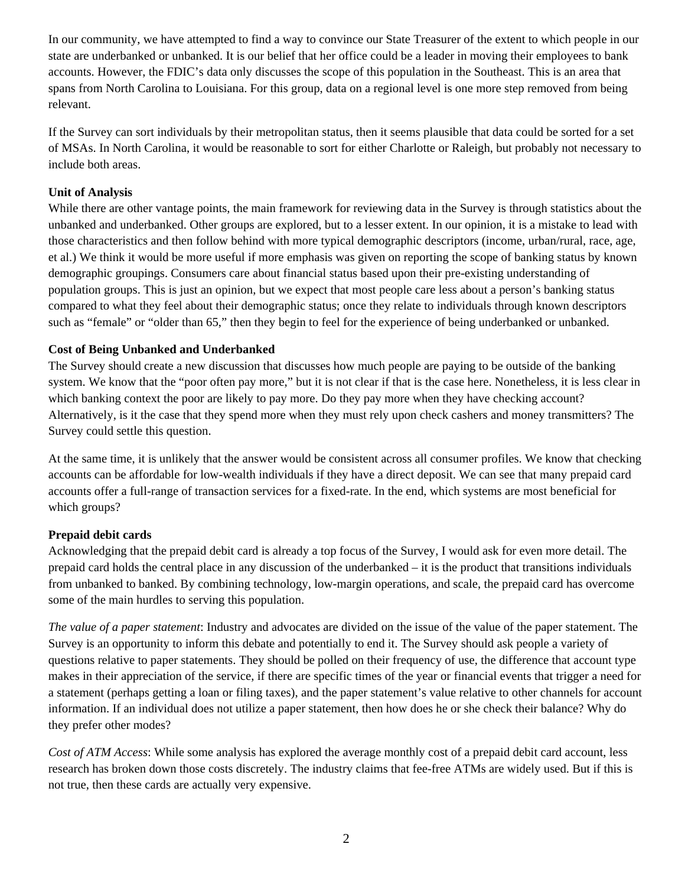In our community, we have attempted to find a way to convince our State Treasurer of the extent to which people in our state are underbanked or unbanked. It is our belief that her office could be a leader in moving their employees to bank accounts. However, the FDIC's data only discusses the scope of this population in the Southeast. This is an area that spans from North Carolina to Louisiana. For this group, data on a regional level is one more step removed from being relevant.

If the Survey can sort individuals by their metropolitan status, then it seems plausible that data could be sorted for a set of MSAs. In North Carolina, it would be reasonable to sort for either Charlotte or Raleigh, but probably not necessary to include both areas.

## **Unit of Analysis**

While there are other vantage points, the main framework for reviewing data in the Survey is through statistics about the unbanked and underbanked. Other groups are explored, but to a lesser extent. In our opinion, it is a mistake to lead with those characteristics and then follow behind with more typical demographic descriptors (income, urban/rural, race, age, et al.) We think it would be more useful if more emphasis was given on reporting the scope of banking status by known demographic groupings. Consumers care about financial status based upon their pre-existing understanding of population groups. This is just an opinion, but we expect that most people care less about a person's banking status compared to what they feel about their demographic status; once they relate to individuals through known descriptors such as "female" or "older than 65," then they begin to feel for the experience of being underbanked or unbanked.

### **Cost of Being Unbanked and Underbanked**

The Survey should create a new discussion that discusses how much people are paying to be outside of the banking system. We know that the "poor often pay more," but it is not clear if that is the case here. Nonetheless, it is less clear in which banking context the poor are likely to pay more. Do they pay more when they have checking account? Alternatively, is it the case that they spend more when they must rely upon check cashers and money transmitters? The Survey could settle this question.

At the same time, it is unlikely that the answer would be consistent across all consumer profiles. We know that checking accounts can be affordable for low-wealth individuals if they have a direct deposit. We can see that many prepaid card accounts offer a full-range of transaction services for a fixed-rate. In the end, which systems are most beneficial for which groups?

## **Prepaid debit cards**

Acknowledging that the prepaid debit card is already a top focus of the Survey, I would ask for even more detail. The prepaid card holds the central place in any discussion of the underbanked – it is the product that transitions individuals from unbanked to banked. By combining technology, low-margin operations, and scale, the prepaid card has overcome some of the main hurdles to serving this population.

*The value of a paper statement*: Industry and advocates are divided on the issue of the value of the paper statement. The Survey is an opportunity to inform this debate and potentially to end it. The Survey should ask people a variety of questions relative to paper statements. They should be polled on their frequency of use, the difference that account type makes in their appreciation of the service, if there are specific times of the year or financial events that trigger a need for a statement (perhaps getting a loan or filing taxes), and the paper statement's value relative to other channels for account information. If an individual does not utilize a paper statement, then how does he or she check their balance? Why do they prefer other modes?

*Cost of ATM Access*: While some analysis has explored the average monthly cost of a prepaid debit card account, less research has broken down those costs discretely. The industry claims that fee-free ATMs are widely used. But if this is not true, then these cards are actually very expensive.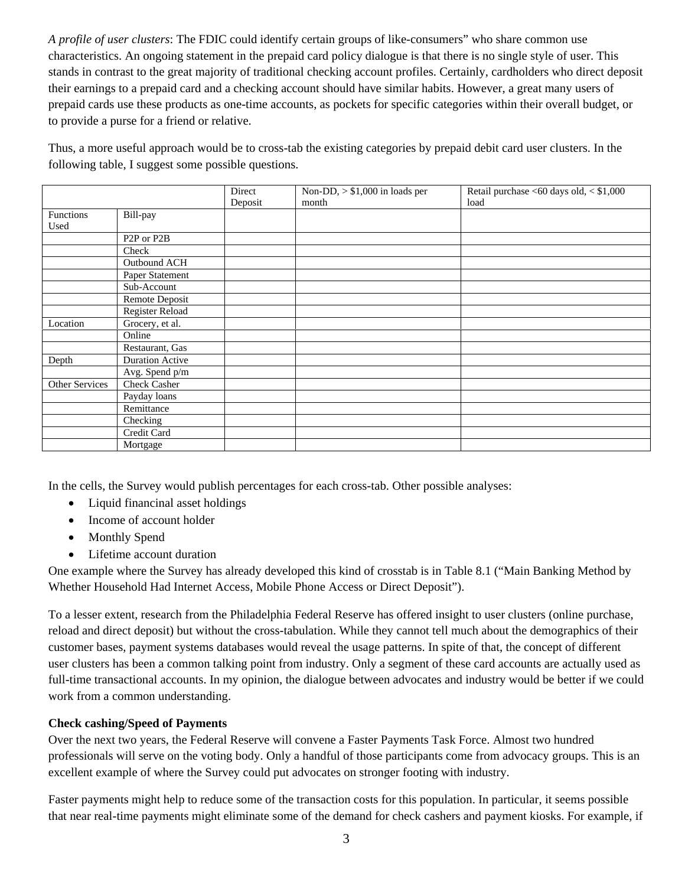*A profile of user clusters*: The FDIC could identify certain groups of like-consumers" who share common use characteristics. An ongoing statement in the prepaid card policy dialogue is that there is no single style of user. This stands in contrast to the great majority of traditional checking account profiles. Certainly, cardholders who direct deposit their earnings to a prepaid card and a checking account should have similar habits. However, a great many users of prepaid cards use these products as one-time accounts, as pockets for specific categories within their overall budget, or to provide a purse for a friend or relative.

Thus, a more useful approach would be to cross-tab the existing categories by prepaid debit card user clusters. In the following table, I suggest some possible questions.

|                |                                      | Direct  | Non-DD, $> $1,000$ in loads per | Retail purchase <60 days old, < \$1,000 |
|----------------|--------------------------------------|---------|---------------------------------|-----------------------------------------|
|                |                                      | Deposit | month                           | load                                    |
| Functions      | Bill-pay                             |         |                                 |                                         |
| Used           |                                      |         |                                 |                                         |
|                | P <sub>2</sub> P or P <sub>2</sub> B |         |                                 |                                         |
|                | Check                                |         |                                 |                                         |
|                | Outbound ACH                         |         |                                 |                                         |
|                | Paper Statement                      |         |                                 |                                         |
|                | Sub-Account                          |         |                                 |                                         |
|                | Remote Deposit                       |         |                                 |                                         |
|                | <b>Register Reload</b>               |         |                                 |                                         |
| Location       | Grocery, et al.                      |         |                                 |                                         |
|                | Online                               |         |                                 |                                         |
|                | Restaurant, Gas                      |         |                                 |                                         |
| Depth          | Duration Active                      |         |                                 |                                         |
|                | Avg. Spend p/m                       |         |                                 |                                         |
| Other Services | <b>Check Casher</b>                  |         |                                 |                                         |
|                | Payday loans                         |         |                                 |                                         |
|                | Remittance                           |         |                                 |                                         |
|                | Checking                             |         |                                 |                                         |
|                | Credit Card                          |         |                                 |                                         |
|                | Mortgage                             |         |                                 |                                         |

In the cells, the Survey would publish percentages for each cross-tab. Other possible analyses:

- Liquid financinal asset holdings
- Income of account holder
- Monthly Spend
- Lifetime account duration

One example where the Survey has already developed this kind of crosstab is in Table 8.1 ("Main Banking Method by Whether Household Had Internet Access, Mobile Phone Access or Direct Deposit").

To a lesser extent, research from the Philadelphia Federal Reserve has offered insight to user clusters (online purchase, reload and direct deposit) but without the cross-tabulation. While they cannot tell much about the demographics of their customer bases, payment systems databases would reveal the usage patterns. In spite of that, the concept of different user clusters has been a common talking point from industry. Only a segment of these card accounts are actually used as full-time transactional accounts. In my opinion, the dialogue between advocates and industry would be better if we could work from a common understanding.

## **Check cashing/Speed of Payments**

Over the next two years, the Federal Reserve will convene a Faster Payments Task Force. Almost two hundred professionals will serve on the voting body. Only a handful of those participants come from advocacy groups. This is an excellent example of where the Survey could put advocates on stronger footing with industry.

Faster payments might help to reduce some of the transaction costs for this population. In particular, it seems possible that near real-time payments might eliminate some of the demand for check cashers and payment kiosks. For example, if